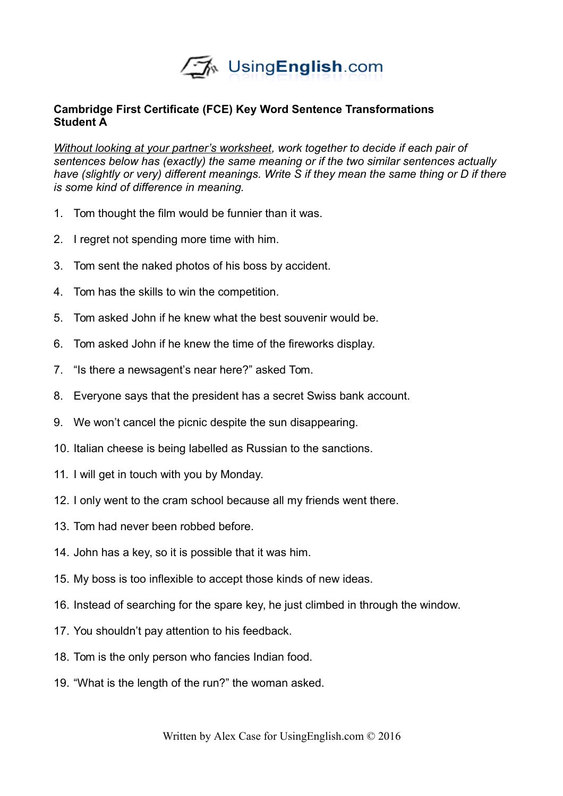

# **Cambridge First Certificate (FCE) Key Word Sentence Transformations Student A**

*Without looking at your partner's worksheet, work together to decide if each pair of sentences below has (exactly) the same meaning or if the two similar sentences actually have (slightly or very) different meanings. Write S if they mean the same thing or D if there is some kind of difference in meaning.* 

- 1. Tom thought the film would be funnier than it was.
- 2. I regret not spending more time with him.
- 3. Tom sent the naked photos of his boss by accident.
- 4. Tom has the skills to win the competition.
- 5. Tom asked John if he knew what the best souvenir would be.
- 6. Tom asked John if he knew the time of the fireworks display.
- 7. "Is there a newsagent's near here?" asked Tom.
- 8. Everyone says that the president has a secret Swiss bank account.
- 9. We won't cancel the picnic despite the sun disappearing.
- 10. Italian cheese is being labelled as Russian to the sanctions.
- 11. I will get in touch with you by Monday.
- 12. I only went to the cram school because all my friends went there.
- 13. Tom had never been robbed before.
- 14. John has a key, so it is possible that it was him.
- 15. My boss is too inflexible to accept those kinds of new ideas.
- 16. Instead of searching for the spare key, he just climbed in through the window.
- 17. You shouldn't pay attention to his feedback.
- 18. Tom is the only person who fancies Indian food.
- 19. "What is the length of the run?" the woman asked.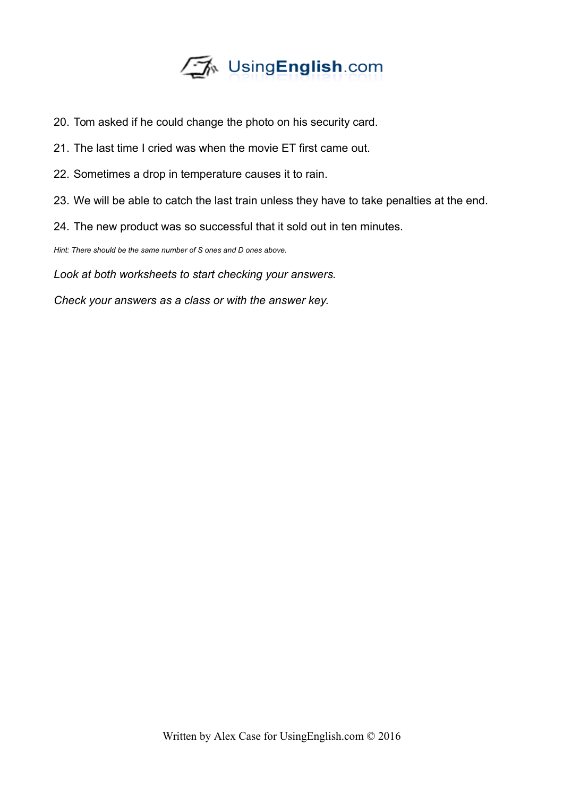

- 20. Tom asked if he could change the photo on his security card.
- 21. The last time I cried was when the movie ET first came out.
- 22. Sometimes a drop in temperature causes it to rain.
- 23. We will be able to catch the last train unless they have to take penalties at the end.
- 24. The new product was so successful that it sold out in ten minutes.

*Hint: There should be the same number of S ones and D ones above.* 

*Look at both worksheets to start checking your answers.*

*Check your answers as a class or with the answer key.*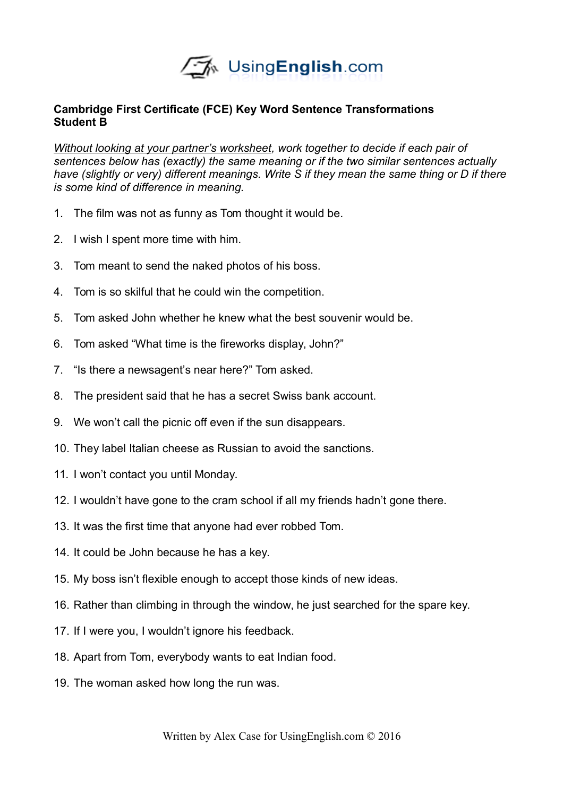

# **Cambridge First Certificate (FCE) Key Word Sentence Transformations Student B**

*Without looking at your partner's worksheet, work together to decide if each pair of sentences below has (exactly) the same meaning or if the two similar sentences actually have (slightly or very) different meanings. Write S if they mean the same thing or D if there is some kind of difference in meaning.* 

- 1. The film was not as funny as Tom thought it would be.
- 2. I wish I spent more time with him.
- 3. Tom meant to send the naked photos of his boss.
- 4. Tom is so skilful that he could win the competition.
- 5. Tom asked John whether he knew what the best souvenir would be.
- 6. Tom asked "What time is the fireworks display, John?"
- 7. "Is there a newsagent's near here?" Tom asked.
- 8. The president said that he has a secret Swiss bank account.
- 9. We won't call the picnic off even if the sun disappears.
- 10. They label Italian cheese as Russian to avoid the sanctions.
- 11. I won't contact you until Monday.
- 12. I wouldn't have gone to the cram school if all my friends hadn't gone there.
- 13. It was the first time that anyone had ever robbed Tom.
- 14. It could be John because he has a key.
- 15. My boss isn't flexible enough to accept those kinds of new ideas.
- 16. Rather than climbing in through the window, he just searched for the spare key.
- 17. If I were you, I wouldn't ignore his feedback.
- 18. Apart from Tom, everybody wants to eat Indian food.
- 19. The woman asked how long the run was.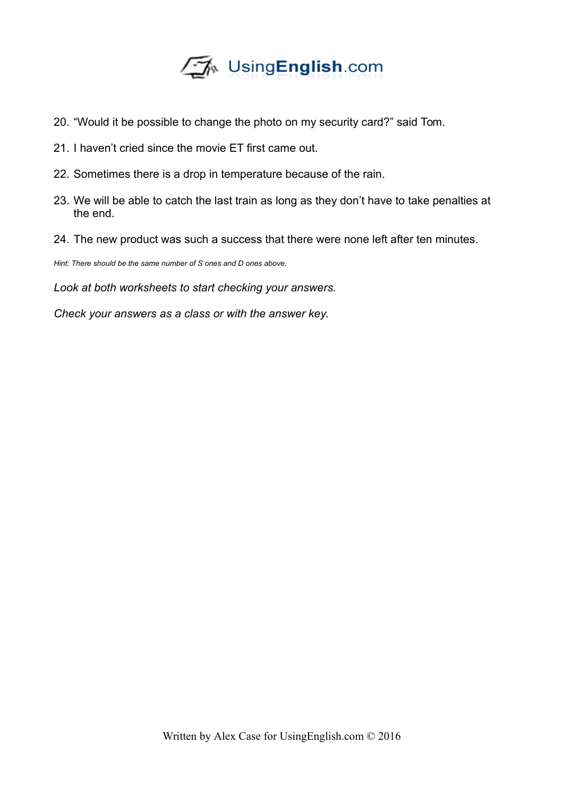

- 20. "Would it be possible to change the photo on my security card?" said Tom.
- 21. I haven't cried since the movie ET first came out.
- 22. Sometimes there is a drop in temperature because of the rain.
- 23. We will be able to catch the last train as long as they don't have to take penalties at the end.
- 24. The new product was such a success that there were none left after ten minutes.

*Hint: There should be the same number of S ones and D ones above.* 

*Look at both worksheets to start checking your answers.*

*Check your answers as a class or with the answer key.*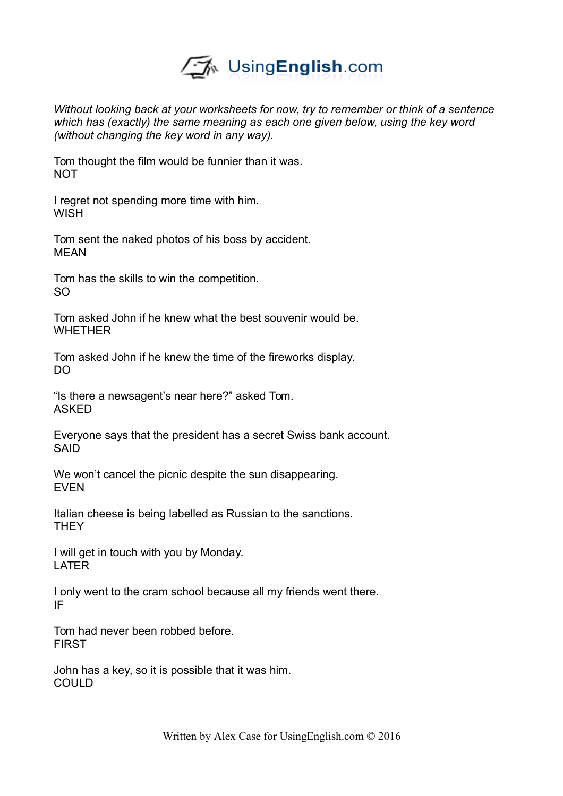

*Without looking back at your worksheets for now, try to remember or think of a sentence which has (exactly) the same meaning as each one given below, using the key word (without changing the key word in any way).* 

Tom thought the film would be funnier than it was. **NOT** 

I regret not spending more time with him. **WISH** 

Tom sent the naked photos of his boss by accident. MEAN

Tom has the skills to win the competition. SO

Tom asked John if he knew what the best souvenir would be. **WHFTHFR** 

Tom asked John if he knew the time of the fireworks display. DO

"Is there a newsagent's near here?" asked Tom. ASKED

Everyone says that the president has a secret Swiss bank account. SAID

We won't cancel the picnic despite the sun disappearing. EVEN

Italian cheese is being labelled as Russian to the sanctions. **THEY** 

I will get in touch with you by Monday. LATER

I only went to the cram school because all my friends went there. IF

Tom had never been robbed before. FIRST

John has a key, so it is possible that it was him. COULD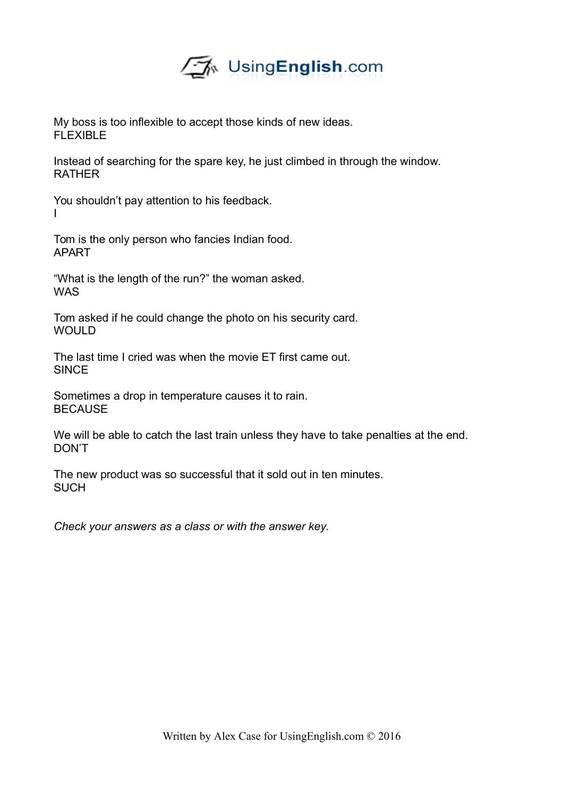

My boss is too inflexible to accept those kinds of new ideas. FLEXIBLE

Instead of searching for the spare key, he just climbed in through the window. **RATHER** 

You shouldn't pay attention to his feedback. I

Tom is the only person who fancies Indian food. APART

"What is the length of the run?" the woman asked. WAS

Tom asked if he could change the photo on his security card. **WOULD** 

The last time I cried was when the movie ET first came out. **SINCE** 

Sometimes a drop in temperature causes it to rain. BECAUSE

We will be able to catch the last train unless they have to take penalties at the end. DON'T

The new product was so successful that it sold out in ten minutes. **SUCH** 

*Check your answers as a class or with the answer key.*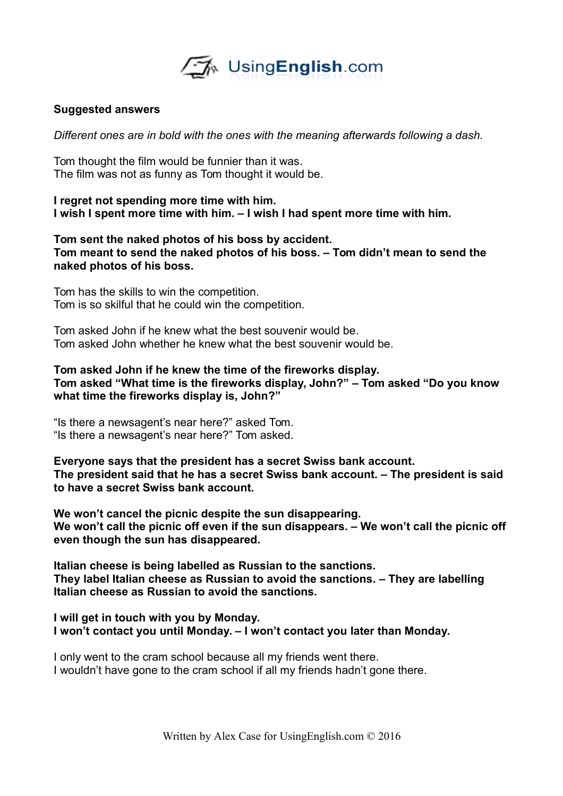

### **Suggested answers**

*Different ones are in bold with the ones with the meaning afterwards following a dash.* 

Tom thought the film would be funnier than it was. The film was not as funny as Tom thought it would be.

**I regret not spending more time with him. I wish I spent more time with him. – I wish I had spent more time with him.**

**Tom sent the naked photos of his boss by accident. Tom meant to send the naked photos of his boss. – Tom didn't mean to send the naked photos of his boss.** 

Tom has the skills to win the competition. Tom is so skilful that he could win the competition.

Tom asked John if he knew what the best souvenir would be. Tom asked John whether he knew what the best souvenir would be.

**Tom asked John if he knew the time of the fireworks display. Tom asked "What time is the fireworks display, John?" – Tom asked "Do you know what time the fireworks display is, John?"**

"Is there a newsagent's near here?" asked Tom. "Is there a newsagent's near here?" Tom asked.

**Everyone says that the president has a secret Swiss bank account. The president said that he has a secret Swiss bank account. – The president is said to have a secret Swiss bank account.** 

**We won't cancel the picnic despite the sun disappearing. We won't call the picnic off even if the sun disappears. – We won't call the picnic off even though the sun has disappeared.** 

**Italian cheese is being labelled as Russian to the sanctions. They label Italian cheese as Russian to avoid the sanctions. – They are labelling Italian cheese as Russian to avoid the sanctions.** 

**I will get in touch with you by Monday. I won't contact you until Monday. – I won't contact you later than Monday.** 

I only went to the cram school because all my friends went there. I wouldn't have gone to the cram school if all my friends hadn't gone there.